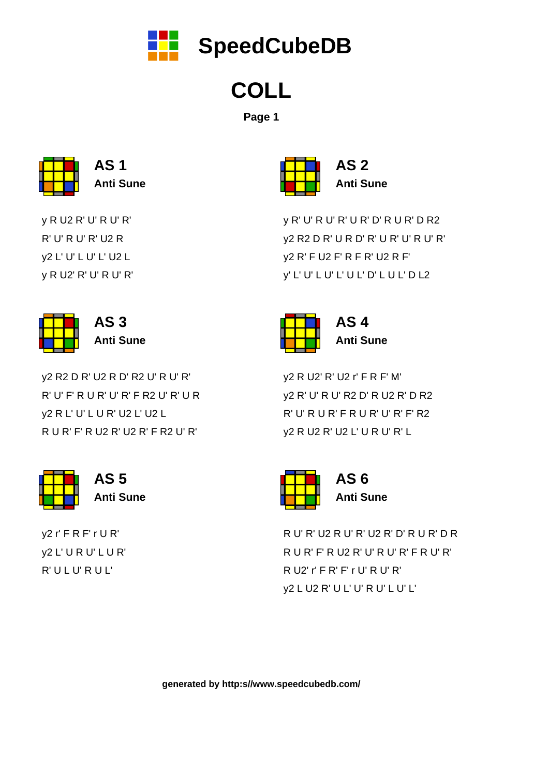y2 r' F R F' r U R' y2 L' U R U' L U R' R' U L U' R U L'



**AS 5 Anti Sune**

y2 R2 D R' U2 R D' R2 U' R U' R' R' U' F' R U R' U' R' F R2 U' R' U R y2 R L' U' L U R' U2 L' U2 L R U R' F' R U2 R' U2 R' F R2 U' R'



y R U2 R' U' R U' R' R' U' R U' R' U2 R y2 L' U' L U' L' U2 L y R U2' R' U' R U' R'



**Anti Sune**

R U' R' U2 R U' R' U2 R' D' R U R' D R R U R' F' R U2 R' U' R U' R' F R U' R' R U2' r' F R' F' r U' R U' R' y2 L U2 R' U L' U' R U' L U' L'



**AS 6 Anti Sune**

y2 R U2' R' U2 r' F R F' M' y2 R' U' R U' R2 D' R U2 R' D R2 R' U' R U R' F R U R' U' R' F' R2 y2 R U2 R' U2 L' U R U' R' L



**AS 4 Anti Sune**

y R' U' R U' R' U R' D' R U R' D R2 y2 R2 D R' U R D' R' U R' U' R U' R' y2 R' F U2 F' R F R' U2 R F' y' L' U' L U' L' U L' D' L U L' D L2

|  | AS  |
|--|-----|
|  | Ant |
|  |     |

**AS 2 Anti Sune**

**COLL**

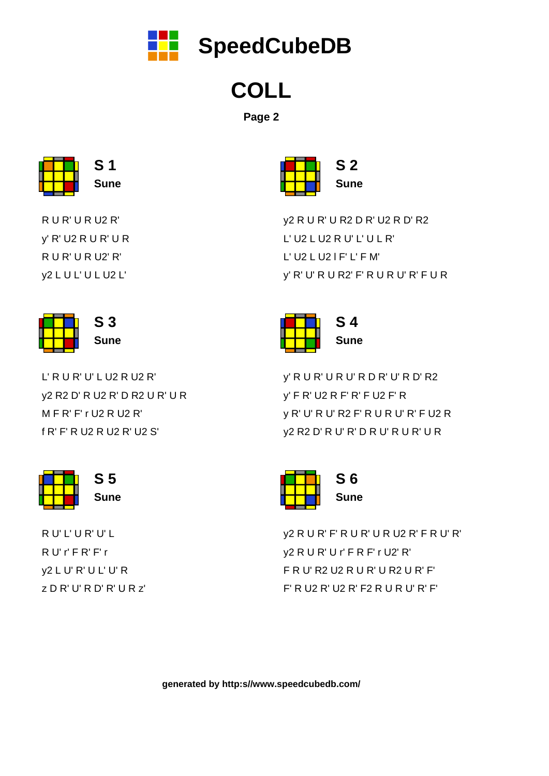R U' L' U R' U' L R U' r' F R' F' r y2 L U' R' U L' U' R z D R' U' R D' R' U R z'



L' R U R' U' L U2 R U2 R' y2 R2 D' R U2 R' D R2 U R' U R M F R' F' r U2 R U2 R' f R' F' R U2 R U2 R' U2 S'



R U R' U R U2 R' y' R' U2 R U R' U R R U R' U R U2' R' y2 L U L' U L U2 L'



y2 R U R' F' R U R' U R U2 R' F R U' R' y2 R U R' U r' F R F' r U2' R' F R U' R2 U2 R U R' U R2 U R' F' F' R U2 R' U2 R' F2 R U R U' R' F'

| S 6  |  |  |
|------|--|--|
|      |  |  |
| Sune |  |  |
|      |  |  |

y' R U R' U R U' R D R' U' R D' R2 y' F R' U2 R F' R' F U2 F' R y R' U' R U' R2 F' R U R U' R' F U2 R y2 R2 D' R U' R' D R U' R U R' U R



y2 R U R' U R2 D R' U2 R D' R2 L' U2 L U2 R U' L' U L R' L' U2 L U2 l F' L' F M' y' R' U' R U R2' F' R U R U' R' F U R

| -2          |
|-------------|
| <b>Sune</b> |

**COLL**

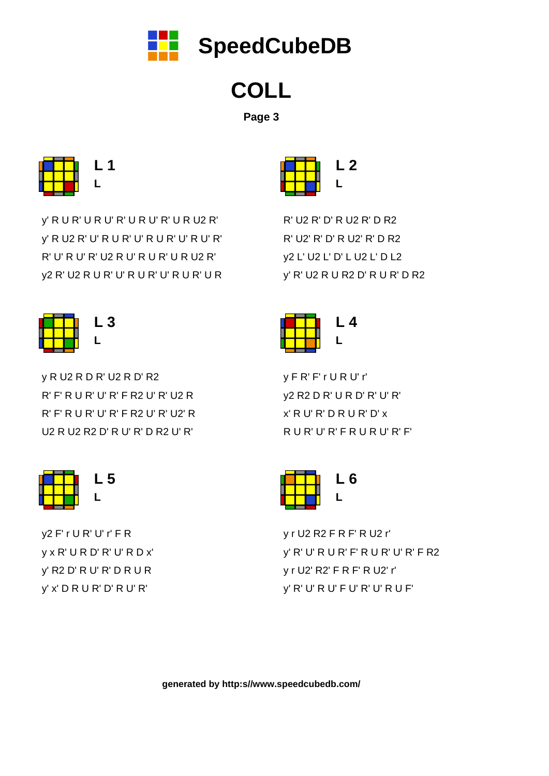y2 F' r U R' U' r' F R y x R' U R D' R' U' R D x' y' R2 D' R U' R' D R U R y' x' D R U R' D' R U' R'



y R U2 R D R' U2 R D' R2 R' F' R U R' U' R' F R2 U' R' U2 R R' F' R U R' U' R' F R2 U' R' U2' R U2 R U2 R2 D' R U' R' D R2 U' R'



y' R U R' U R U' R' U R U' R' U R U2 R' y' R U2 R' U' R U R' U' R U R' U' R U' R' R' U' R U' R' U2 R U' R U R' U R U2 R' y2 R' U2 R U R' U' R U R' U' R U R' U R



y r U2 R2 F R F' R U2 r' y' R' U' R U R' F' R U R' U' R' F R2 y r U2' R2' F R F' R U2' r' y' R' U' R U' F U' R' U' R U F'



y F R' F' r U R U' r' y2 R2 D R' U R D' R' U' R' x' R U' R' D R U R' D' x R U R' U' R' F R U R U' R' F'



R' U2 R' D' R U2 R' D R2 R' U2' R' D' R U2' R' D R2 y2 L' U2 L' D' L U2 L' D L2 y' R' U2 R U R2 D' R U R' D R2





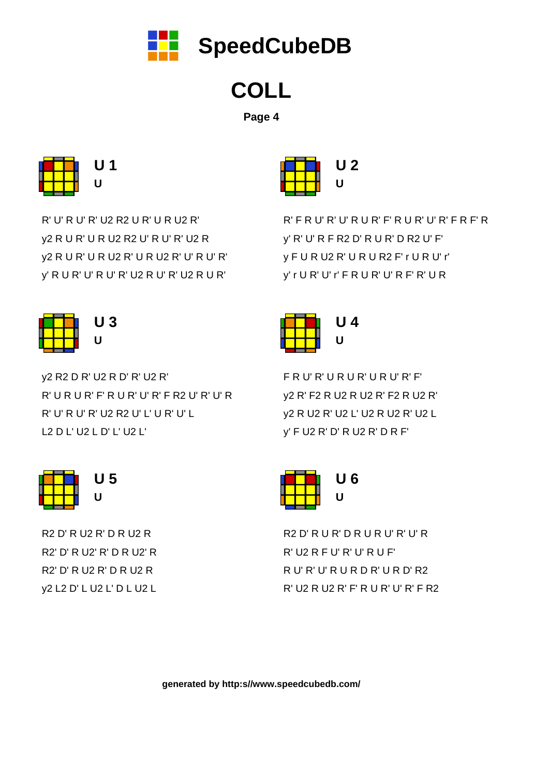R2 D' R U2 R' D R U2 R R2' D' R U2' R' D R U2' R R2' D' R U2 R' D R U2 R y2 L2 D' L U2 L' D L U2 L



y2 R2 D R' U2 R D' R' U2 R' R' U R U R' F' R U R' U' R' F R2 U' R' U' R R' U' R U' R' U2 R2 U' L' U R' U' L L2 D L' U2 L D' L' U2 L'



R' U' R U' R' U2 R2 U R' U R U2 R' y2 R U R' U R U2 R2 U' R U' R' U2 R y2 R U R' U R U2 R' U R U2 R' U' R U' R' y' R U R' U' R U' R' U2 R U' R' U2 R U R'

> R2 D' R U R' D R U R U' R' U' R R' U2 R F U' R' U' R U F' R U' R' U' R U R D R' U R D' R2 R' U2 R U2 R' F' R U R' U' R' F R2



F R U' R' U R U R' U R U' R' F' y2 R' F2 R U2 R U2 R' F2 R U2 R' y2 R U2 R' U2 L' U2 R U2 R' U2 L y' F U2 R' D' R U2 R' D R F'



R' F R U' R' U' R U R' F' R U R' U' R' F R F' R y' R' U' R F R2 D' R U R' D R2 U' F' y F U R U2 R' U R U R2 F' r U R U' r' y' r U R' U' r' F R U R' U' R F' R' U R



| U 2 |  |  |
|-----|--|--|
|     |  |  |
| U   |  |  |
|     |  |  |



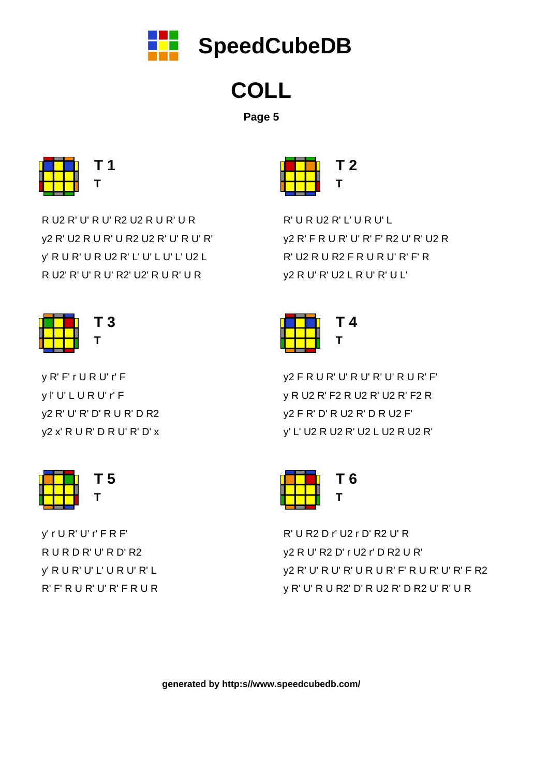y' r U R' U' r' F R F' R U R D R' U' R D' R2 y' R U R' U' L' U R U' R' L R' F' R U R' U' R' F R U R



y R' F' r U R U' r' F y l' U' L U R U' r' F y2 R' U' R' D' R U R' D R2 y2 x' R U R' D R U' R' D' x



R U2 R' U' R U' R2 U2 R U R' U R y2 R' U2 R U R' U R2 U2 R' U' R U' R' y' R U R' U R U2 R' L' U' L U' L' U2 L R U2' R' U' R U' R2' U2' R U R' U R



R' U R2 D r' U2 r D' R2 U' R y2 R U' R2 D' r U2 r' D R2 U R' y2 R' U' R U' R' U R U R' F' R U R' U' R' F R2 y R' U' R U R2' D' R U2 R' D R2 U' R' U R



y2 F R U R' U' R U' R' U' R U R' F' y R U2 R' F2 R U2 R' U2 R' F2 R y2 F R' D' R U2 R' D R U2 F' y' L' U2 R U2 R' U2 L U2 R U2 R'



R' U R U2 R' L' U R U' L y2 R' F R U R' U' R' F' R2 U' R' U2 R R' U2 R U R2 F R U R U' R' F' R y2 R U' R' U2 L R U' R' U L'





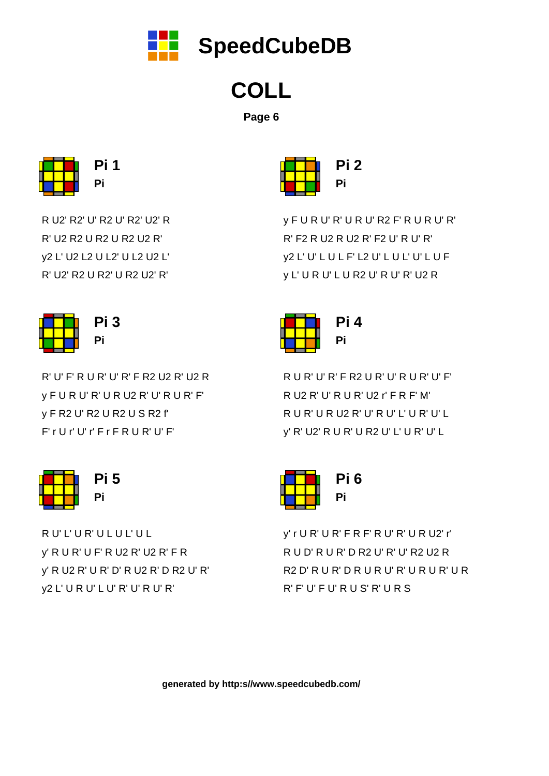R U' L' U R' U L U L' U L y' R U R' U F' R U2 R' U2 R' F R y' R U2 R' U R' D' R U2 R' D R2 U' R' y2 L' U R U' L U' R' U' R U' R'



R' U' F' R U R' U' R' F R2 U2 R' U2 R y F U R U' R' U R U2 R' U' R U R' F' y F R2 U' R2 U R2 U S R2 f' F' r U r' U' r' F r F R U R' U' F'



R U2' R2' U' R2 U' R2' U2' R R' U2 R2 U R2 U R2 U2 R' y2 L' U2 L2 U L2' U L2 U2 L' R' U2' R2 U R2' U R2 U2' R'



y' r U R' U R' F R F' R U' R' U R U2' r' R U D' R U R' D R2 U' R' U' R2 U2 R R2 D' R U R' D R U R U' R' U R U R' U R R' F' U' F U' R U S' R' U R S



R U R' U' R' F R2 U R' U' R U R' U' F' R U2 R' U' R U R' U2 r' F R F' M' R U R' U R U2 R' U' R U' L' U R' U' L y' R' U2' R U R' U R2 U' L' U R' U' L



y F U R U' R' U R U' R2 F' R U R U' R' R' F2 R U2 R U2 R' F2 U' R U' R' y2 L' U' L U L F' L2 U' L U L' U' L U F y L' U R U' L U R2 U' R U' R' U2 R